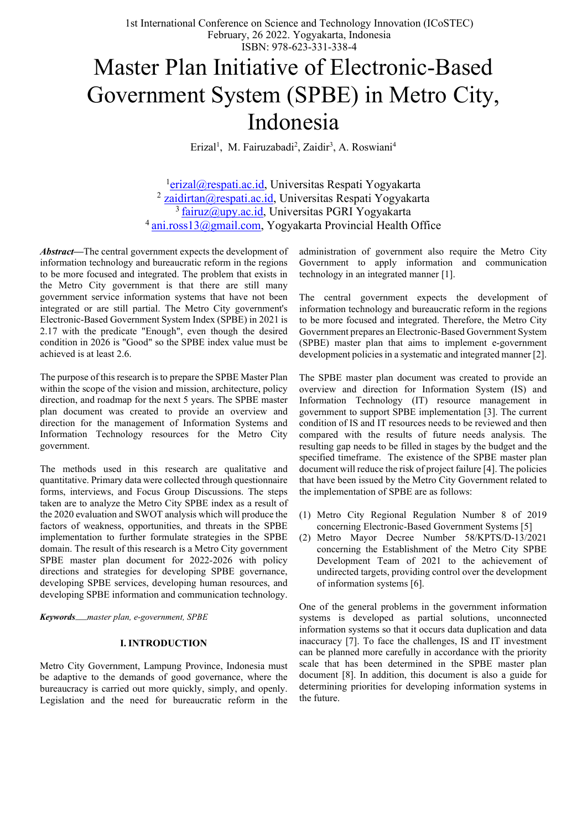1st International Conference on Science and Technology Innovation (ICoSTEC) February, 26 2022. Yogyakarta, Indonesia ISBN: 978-623-331-338-4

# Master Plan Initiative of Electronic-Based Government System (SPBE) in Metro City, Indonesia

Erizal<sup>1</sup>, M. Fairuzabadi<sup>2</sup>, Zaidir<sup>3</sup>, A. Roswiani<sup>4</sup>

<sup>1</sup>erizal@respati.ac.id, Universitas Respati Yogyakarta  $2$  [zaidirtan@respati.ac.id,](mailto:zaidirtan@respati.ac.id) Universitas Respati Yogyakarta  $\frac{1}{3}$  fairuz@upy.ac.id, Universitas PGRI Yogyakarta <sup>4</sup> [ani.ross13@gmail.com,](mailto:ani.ross13@gmail.com) Yogyakarta Provincial Health Office

*Abstract***—**The central government expects the development of information technology and bureaucratic reform in the regions to be more focused and integrated. The problem that exists in the Metro City government is that there are still many government service information systems that have not been integrated or are still partial. The Metro City government's Electronic-Based Government System Index (SPBE) in 2021 is 2.17 with the predicate "Enough", even though the desired condition in 2026 is "Good" so the SPBE index value must be achieved is at least 2.6.

The purpose of this research is to prepare the SPBE Master Plan within the scope of the vision and mission, architecture, policy direction, and roadmap for the next 5 years. The SPBE master plan document was created to provide an overview and direction for the management of Information Systems and Information Technology resources for the Metro City government.

The methods used in this research are qualitative and quantitative. Primary data were collected through questionnaire forms, interviews, and Focus Group Discussions. The steps taken are to analyze the Metro City SPBE index as a result of the 2020 evaluation and SWOT analysis which will produce the factors of weakness, opportunities, and threats in the SPBE implementation to further formulate strategies in the SPBE domain. The result of this research is a Metro City government SPBE master plan document for 2022-2026 with policy directions and strategies for developing SPBE governance, developing SPBE services, developing human resources, and developing SPBE information and communication technology.

*Keywords*—*master plan, e-government, SPBE*

## **I. INTRODUCTION**

Metro City Government, Lampung Province, Indonesia must be adaptive to the demands of good governance, where the bureaucracy is carried out more quickly, simply, and openly. Legislation and the need for bureaucratic reform in the

administration of government also require the Metro City Government to apply information and communication technology in an integrated manner [1].

The central government expects the development of information technology and bureaucratic reform in the regions to be more focused and integrated. Therefore, the Metro City Government prepares an Electronic-Based Government System (SPBE) master plan that aims to implement e-government development policies in a systematic and integrated manner [2].

The SPBE master plan document was created to provide an overview and direction for Information System (IS) and Information Technology (IT) resource management in government to support SPBE implementation [3]. The current condition of IS and IT resources needs to be reviewed and then compared with the results of future needs analysis. The resulting gap needs to be filled in stages by the budget and the specified timeframe. The existence of the SPBE master plan document will reduce the risk of project failure [4]. The policies that have been issued by the Metro City Government related to the implementation of SPBE are as follows:

- (1) Metro City Regional Regulation Number 8 of 2019 concerning Electronic-Based Government Systems [5]
- (2) Metro Mayor Decree Number 58/KPTS/D-13/2021 concerning the Establishment of the Metro City SPBE Development Team of 2021 to the achievement of undirected targets, providing control over the development of information systems [6].

One of the general problems in the government information systems is developed as partial solutions, unconnected information systems so that it occurs data duplication and data inaccuracy [7]. To face the challenges, IS and IT investment can be planned more carefully in accordance with the priority scale that has been determined in the SPBE master plan document [8]. In addition, this document is also a guide for determining priorities for developing information systems in the future.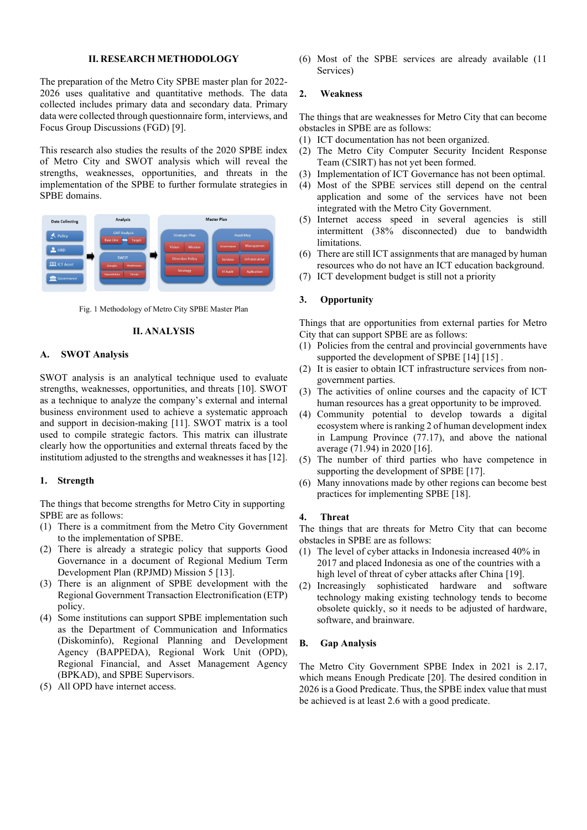#### **II. RESEARCH METHODOLOGY**

The preparation of the Metro City SPBE master plan for 2022- 2026 uses qualitative and quantitative methods. The data collected includes primary data and secondary data. Primary data were collected through questionnaire form, interviews, and Focus Group Discussions (FGD) [9].

This research also studies the results of the 2020 SPBE index of Metro City and SWOT analysis which will reveal the strengths, weaknesses, opportunities, and threats in the implementation of the SPBE to further formulate strategies in SPBE domains.



Fig. 1 Methodology of Metro City SPBE Master Plan

#### **II. ANALYSIS**

#### **A. SWOT Analysis**

SWOT analysis is an analytical technique used to evaluate strengths, weaknesses, opportunities, and threats [10]. SWOT as a technique to analyze the company's external and internal business environment used to achieve a systematic approach and support in decision-making [11]. SWOT matrix is a tool used to compile strategic factors. This matrix can illustrate clearly how the opportunities and external threats faced by the institutiom adjusted to the strengths and weaknesses it has [12].

#### **1. Strength**

The things that become strengths for Metro City in supporting SPBE are as follows:

- (1) There is a commitment from the Metro City Government to the implementation of SPBE.
- (2) There is already a strategic policy that supports Good Governance in a document of Regional Medium Term Development Plan (RPJMD) Mission 5 [13].
- (3) There is an alignment of SPBE development with the Regional Government Transaction Electronification (ETP) policy.
- (4) Some institutions can support SPBE implementation such as the Department of Communication and Informatics (Diskominfo), Regional Planning and Development Agency (BAPPEDA), Regional Work Unit (OPD), Regional Financial, and Asset Management Agency (BPKAD), and SPBE Supervisors.
- (5) All OPD have internet access.

(6) Most of the SPBE services are already available (11 Services)

#### **2. Weakness**

The things that are weaknesses for Metro City that can become obstacles in SPBE are as follows:

- (1) ICT documentation has not been organized.
- (2) The Metro City Computer Security Incident Response Team (CSIRT) has not yet been formed.
- (3) Implementation of ICT Governance has not been optimal.
- (4) Most of the SPBE services still depend on the central application and some of the services have not been integrated with the Metro City Government.
- (5) Internet access speed in several agencies is still intermittent (38% disconnected) due to bandwidth limitations.
- (6) There are still ICT assignments that are managed by human resources who do not have an ICT education background.
- (7) ICT development budget is still not a priority

#### **3. Opportunity**

Things that are opportunities from external parties for Metro City that can support SPBE are as follows:

- (1) Policies from the central and provincial governments have supported the development of SPBE [14] [15].
- (2) It is easier to obtain ICT infrastructure services from nongovernment parties.
- (3) The activities of online courses and the capacity of ICT human resources has a great opportunity to be improved.
- (4) Community potential to develop towards a digital ecosystem where is ranking 2 of human development index in Lampung Province (77.17), and above the national average (71.94) in 2020 [16].
- (5) The number of third parties who have competence in supporting the development of SPBE [17].
- (6) Many innovations made by other regions can become best practices for implementing SPBE [18].

#### **4. Threat**

The things that are threats for Metro City that can become obstacles in SPBE are as follows:

- (1) The level of cyber attacks in Indonesia increased 40% in 2017 and placed Indonesia as one of the countries with a high level of threat of cyber attacks after China [19].
- (2) Increasingly sophisticated hardware and software technology making existing technology tends to become obsolete quickly, so it needs to be adjusted of hardware, software, and brainware.

#### **B. Gap Analysis**

The Metro City Government SPBE Index in 2021 is 2.17, which means Enough Predicate [20]. The desired condition in 2026 is a Good Predicate. Thus, the SPBE index value that must be achieved is at least 2.6 with a good predicate.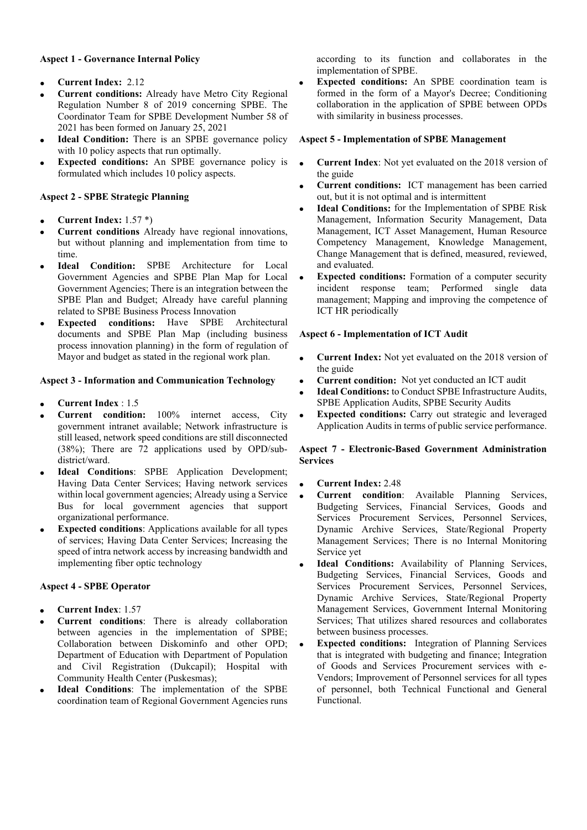# **Aspect 1 - Governance Internal Policy**

- **Current Index:** 2.12
- **Current conditions:** Already have Metro City Regional Regulation Number 8 of 2019 concerning SPBE. The Coordinator Team for SPBE Development Number 58 of 2021 has been formed on January 25, 2021
- **Ideal Condition:** There is an SPBE governance policy with 10 policy aspects that run optimally.
- **Expected conditions:** An SPBE governance policy is formulated which includes 10 policy aspects.

# **Aspect 2 - SPBE Strategic Planning**

- **Current Index:** 1.57 \*)
- **Current conditions** Already have regional innovations, but without planning and implementation from time to time.
- **Ideal Condition:** SPBE Architecture for Local Government Agencies and SPBE Plan Map for Local Government Agencies; There is an integration between the SPBE Plan and Budget; Already have careful planning related to SPBE Business Process Innovation
- **Expected conditions:** Have SPBE Architectural documents and SPBE Plan Map (including business process innovation planning) in the form of regulation of Mayor and budget as stated in the regional work plan.

## **Aspect 3 - Information and Communication Technology**

- **Current Index** : 1.5
- **Current condition:** 100% internet access, City government intranet available; Network infrastructure is still leased, network speed conditions are still disconnected (38%); There are 72 applications used by OPD/subdistrict/ward.
- **Ideal Conditions: SPBE Application Development;** Having Data Center Services; Having network services within local government agencies; Already using a Service Bus for local government agencies that support organizational performance.
- **Expected conditions:** Applications available for all types of services; Having Data Center Services; Increasing the speed of intra network access by increasing bandwidth and implementing fiber optic technology

## **Aspect 4 - SPBE Operator**

- **Current Index**: 1.57
- **Current conditions**: There is already collaboration between agencies in the implementation of SPBE; Collaboration between Diskominfo and other OPD; Department of Education with Department of Population and Civil Registration (Dukcapil); Hospital with Community Health Center (Puskesmas);
- **Ideal Conditions:** The implementation of the SPBE coordination team of Regional Government Agencies runs

according to its function and collaborates in the implementation of SPBE.

**Expected conditions:** An SPBE coordination team is formed in the form of a Mayor's Decree; Conditioning collaboration in the application of SPBE between OPDs with similarity in business processes.

#### **Aspect 5 - Implementation of SPBE Management**

- **Current Index**: Not yet evaluated on the 2018 version of the guide
- **Current conditions:** ICT management has been carried out, but it is not optimal and is intermittent
- **Ideal Conditions:** for the Implementation of SPBE Risk Management, Information Security Management, Data Management, ICT Asset Management, Human Resource Competency Management, Knowledge Management, Change Management that is defined, measured, reviewed, and evaluated.
- **Expected conditions:** Formation of a computer security incident response team; Performed single data management; Mapping and improving the competence of ICT HR periodically

## **Aspect 6 - Implementation of ICT Audit**

- **Current Index:** Not yet evaluated on the 2018 version of the guide
- **Current condition:** Not yet conducted an ICT audit
- **Ideal Conditions:** to Conduct SPBE Infrastructure Audits, SPBE Application Audits, SPBE Security Audits
- **Expected conditions:** Carry out strategic and leveraged Application Audits in terms of public service performance.

## **Aspect 7 - Electronic-Based Government Administration Services**

- **Current Index:** 2.48
- **Current condition**: Available Planning Services, Budgeting Services, Financial Services, Goods and Services Procurement Services, Personnel Services, Dynamic Archive Services, State/Regional Property Management Services; There is no Internal Monitoring Service yet
- **Ideal Conditions:** Availability of Planning Services, Budgeting Services, Financial Services, Goods and Services Procurement Services, Personnel Services, Dynamic Archive Services, State/Regional Property Management Services, Government Internal Monitoring Services; That utilizes shared resources and collaborates between business processes.
- **Expected conditions:** Integration of Planning Services that is integrated with budgeting and finance; Integration of Goods and Services Procurement services with e-Vendors; Improvement of Personnel services for all types of personnel, both Technical Functional and General Functional.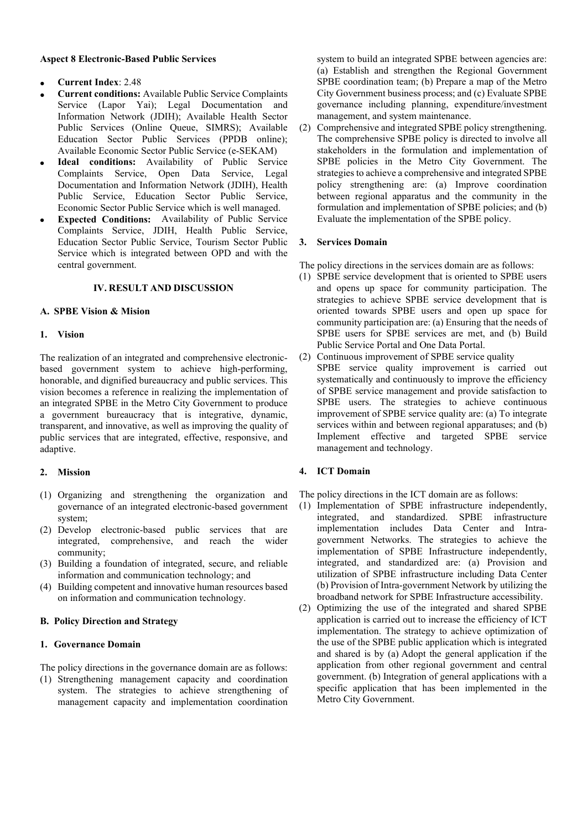#### **Aspect 8 Electronic-Based Public Services**

- **Current Index**: 2.48
- **Current conditions:** Available Public Service Complaints Service (Lapor Yai); Legal Documentation and Information Network (JDIH); Available Health Sector Public Services (Online Queue, SIMRS); Available Education Sector Public Services (PPDB online); Available Economic Sector Public Service (e-SEKAM)
- Ideal conditions: Availability of Public Service Complaints Service, Open Data Service, Legal Documentation and Information Network (JDIH), Health Public Service, Education Sector Public Service, Economic Sector Public Service which is well managed.
- **Expected Conditions:** Availability of Public Service Complaints Service, JDIH, Health Public Service, Education Sector Public Service, Tourism Sector Public Service which is integrated between OPD and with the central government.

# **IV. RESULT AND DISCUSSION**

## **A. SPBE Vision & Mision**

#### **1. Vision**

The realization of an integrated and comprehensive electronicbased government system to achieve high-performing, honorable, and dignified bureaucracy and public services. This vision becomes a reference in realizing the implementation of an integrated SPBE in the Metro City Government to produce a government bureaucracy that is integrative, dynamic, transparent, and innovative, as well as improving the quality of public services that are integrated, effective, responsive, and adaptive.

## **2. Mission**

- (1) Organizing and strengthening the organization and governance of an integrated electronic-based government system;
- (2) Develop electronic-based public services that are integrated, comprehensive, and reach the wider community;
- (3) Building a foundation of integrated, secure, and reliable information and communication technology; and
- (4) Building competent and innovative human resources based on information and communication technology.

# **B. Policy Direction and Strategy**

# **1. Governance Domain**

The policy directions in the governance domain are as follows:

(1) Strengthening management capacity and coordination system. The strategies to achieve strengthening of management capacity and implementation coordination

system to build an integrated SPBE between agencies are: (a) Establish and strengthen the Regional Government SPBE coordination team; (b) Prepare a map of the Metro City Government business process; and (c) Evaluate SPBE governance including planning, expenditure/investment management, and system maintenance.

(2) Comprehensive and integrated SPBE policy strengthening. The comprehensive SPBE policy is directed to involve all stakeholders in the formulation and implementation of SPBE policies in the Metro City Government. The strategies to achieve a comprehensive and integrated SPBE policy strengthening are: (a) Improve coordination between regional apparatus and the community in the formulation and implementation of SPBE policies; and (b) Evaluate the implementation of the SPBE policy.

#### **3. Services Domain**

The policy directions in the services domain are as follows:

- (1) SPBE service development that is oriented to SPBE users and opens up space for community participation. The strategies to achieve SPBE service development that is oriented towards SPBE users and open up space for community participation are: (a) Ensuring that the needs of SPBE users for SPBE services are met, and (b) Build Public Service Portal and One Data Portal.
- (2) Continuous improvement of SPBE service quality SPBE service quality improvement is carried out systematically and continuously to improve the efficiency of SPBE service management and provide satisfaction to SPBE users. The strategies to achieve continuous improvement of SPBE service quality are: (a) To integrate services within and between regional apparatuses; and (b) Implement effective and targeted SPBE service management and technology.

## **4. ICT Domain**

The policy directions in the ICT domain are as follows:

- (1) Implementation of SPBE infrastructure independently, integrated, and standardized. SPBE infrastructure implementation includes Data Center and Intragovernment Networks. The strategies to achieve the implementation of SPBE Infrastructure independently, integrated, and standardized are: (a) Provision and utilization of SPBE infrastructure including Data Center (b) Provision of Intra-government Network by utilizing the broadband network for SPBE Infrastructure accessibility.
- (2) Optimizing the use of the integrated and shared SPBE application is carried out to increase the efficiency of ICT implementation. The strategy to achieve optimization of the use of the SPBE public application which is integrated and shared is by (a) Adopt the general application if the application from other regional government and central government. (b) Integration of general applications with a specific application that has been implemented in the Metro City Government.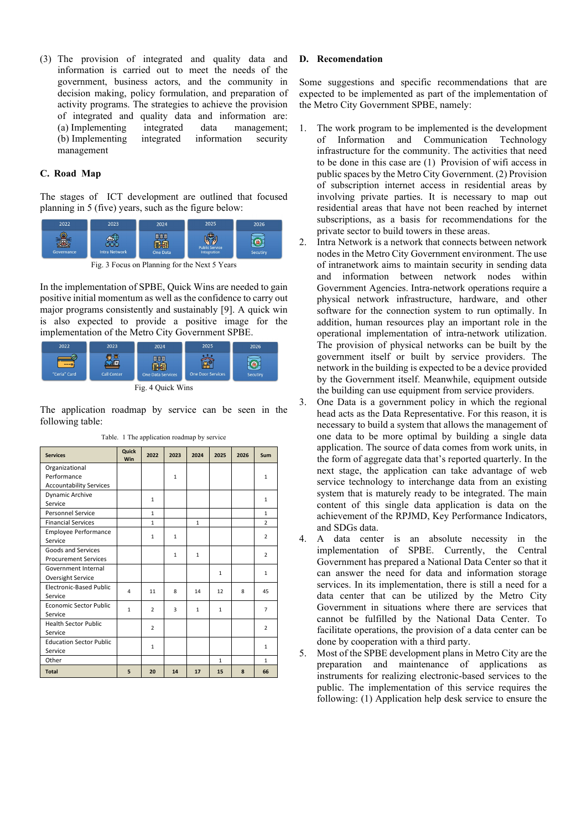(3) The provision of integrated and quality data and information is carried out to meet the needs of the government, business actors, and the community in decision making, policy formulation, and preparation of activity programs. The strategies to achieve the provision of integrated and quality data and information are: (a) Implementing integrated data management; (b) Implementing integrated information security management

# **C. Road Map**

The stages of ICT development are outlined that focused planning in 5 (five) years, such as the figure below:



Fig. 3 Focus on Planning for the Next 5 Years

In the implementation of SPBE, Quick Wins are needed to gain positive initial momentum as well as the confidence to carry out major programs consistently and sustainably [9]. A quick win is also expected to provide a positive image for the implementation of the Metro City Government SPBE.



Fig. 4 Quick Wins

The application roadmap by service can be seen in the following table:

| <b>Services</b>                | Quick<br>Win | 2022           | 2023         | 2024         | 2025         | 2026           | Sum            |
|--------------------------------|--------------|----------------|--------------|--------------|--------------|----------------|----------------|
| Organizational                 |              |                |              |              |              |                |                |
| Performance                    |              |                | $\mathbf{1}$ |              |              |                | $\mathbf{1}$   |
| <b>Accountability Services</b> |              |                |              |              |              |                |                |
| Dynamic Archive                |              | $\mathbf{1}$   |              |              |              |                | $\mathbf{1}$   |
| Service                        |              |                |              |              |              |                |                |
| <b>Personnel Service</b>       |              | $\mathbf{1}$   |              |              |              |                | $\mathbf{1}$   |
| <b>Financial Services</b>      |              | $\mathbf{1}$   |              | $\mathbf{1}$ |              |                | $\overline{2}$ |
| <b>Employee Performance</b>    |              | 1              | $\mathbf{1}$ |              |              | $\overline{2}$ |                |
| Service                        |              |                |              |              |              |                |                |
| Goods and Services             |              |                | $\mathbf{1}$ | $\mathbf{1}$ |              | $\overline{2}$ |                |
| <b>Procurement Services</b>    |              |                |              |              |              |                |                |
| Government Internal            |              |                |              |              | $\mathbf{1}$ |                | $\mathbf{1}$   |
| Oversight Service              |              |                |              |              |              |                |                |
| <b>Electronic-Based Public</b> | 4            | 11             | 8            | 14           | 12           | 8              | 45             |
| Service                        |              |                |              |              |              |                |                |
| Economic Sector Public         | $\mathbf{1}$ | $\overline{2}$ | 3            | $\mathbf{1}$ | $\mathbf{1}$ |                | $\overline{7}$ |
| Service                        |              |                |              |              |              |                |                |
| <b>Health Sector Public</b>    |              | $\overline{2}$ |              |              |              |                | $\overline{2}$ |
| Service                        |              |                |              |              |              |                |                |
| <b>Education Sector Public</b> |              | $\mathbf{1}$   |              |              |              |                | $\mathbf{1}$   |
| Service                        |              |                |              |              |              |                |                |
| Other                          |              |                |              |              | $\mathbf{1}$ |                | $\mathbf{1}$   |
| <b>Total</b>                   | 5            | 20             | 14           | 17           | 15           | 8              | 66             |

Table. 1 The application roadmap by service

#### **D. Recomendation**

Some suggestions and specific recommendations that are expected to be implemented as part of the implementation of the Metro City Government SPBE, namely:

- 1. The work program to be implemented is the development of Information and Communication Technology infrastructure for the community. The activities that need to be done in this case are (1) Provision of wifi access in public spaces by the Metro City Government. (2) Provision of subscription internet access in residential areas by involving private parties. It is necessary to map out residential areas that have not been reached by internet subscriptions, as a basis for recommendations for the private sector to build towers in these areas.
- 2. Intra Network is a network that connects between network nodes in the Metro City Government environment. The use of intranetwork aims to maintain security in sending data and information between network nodes within Government Agencies. Intra-network operations require a physical network infrastructure, hardware, and other software for the connection system to run optimally. In addition, human resources play an important role in the operational implementation of intra-network utilization. The provision of physical networks can be built by the government itself or built by service providers. The network in the building is expected to be a device provided by the Government itself. Meanwhile, equipment outside the building can use equipment from service providers.
- 3. One Data is a government policy in which the regional head acts as the Data Representative. For this reason, it is necessary to build a system that allows the management of one data to be more optimal by building a single data application. The source of data comes from work units, in the form of aggregate data that's reported quarterly. In the next stage, the application can take advantage of web service technology to interchange data from an existing system that is maturely ready to be integrated. The main content of this single data application is data on the achievement of the RPJMD, Key Performance Indicators, and SDGs data.
- 4. A data center is an absolute necessity in the implementation of SPBE. Currently, the Central Government has prepared a National Data Center so that it can answer the need for data and information storage services. In its implementation, there is still a need for a data center that can be utilized by the Metro City Government in situations where there are services that cannot be fulfilled by the National Data Center. To facilitate operations, the provision of a data center can be done by cooperation with a third party.
- 5. Most of the SPBE development plans in Metro City are the preparation and maintenance of applications as instruments for realizing electronic-based services to the public. The implementation of this service requires the following: (1) Application help desk service to ensure the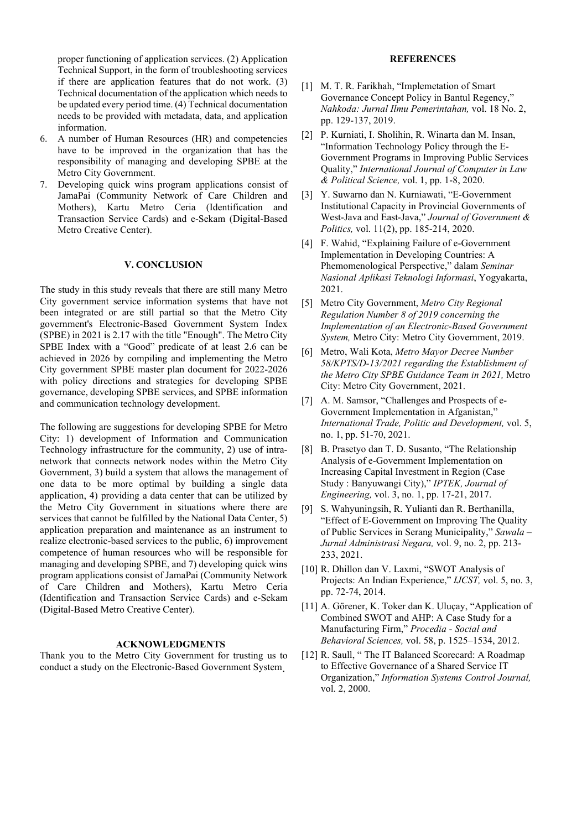proper functioning of application services. (2) Application Technical Support, in the form of troubleshooting services if there are application features that do not work. (3) Technical documentation of the application which needs to be updated every period time. (4) Technical documentation needs to be provided with metadata, data, and application information.

- 6. A number of Human Resources (HR) and competencies have to be improved in the organization that has the responsibility of managing and developing SPBE at the Metro City Government.
- 7. Developing quick wins program applications consist of JamaPai (Community Network of Care Children and Mothers), Kartu Metro Ceria (Identification and Transaction Service Cards) and e-Sekam (Digital-Based Metro Creative Center).

## **V. CONCLUSION**

The study in this study reveals that there are still many Metro City government service information systems that have not been integrated or are still partial so that the Metro City government's Electronic-Based Government System Index (SPBE) in 2021 is 2.17 with the title "Enough". The Metro City SPBE Index with a "Good" predicate of at least 2.6 can be achieved in 2026 by compiling and implementing the Metro City government SPBE master plan document for 2022-2026 with policy directions and strategies for developing SPBE governance, developing SPBE services, and SPBE information and communication technology development.

The following are suggestions for developing SPBE for Metro City: 1) development of Information and Communication Technology infrastructure for the community, 2) use of intranetwork that connects network nodes within the Metro City Government, 3) build a system that allows the management of one data to be more optimal by building a single data application, 4) providing a data center that can be utilized by the Metro City Government in situations where there are services that cannot be fulfilled by the National Data Center, 5) application preparation and maintenance as an instrument to realize electronic-based services to the public, 6) improvement competence of human resources who will be responsible for managing and developing SPBE, and 7) developing quick wins program applications consist of JamaPai (Community Network of Care Children and Mothers), Kartu Metro Ceria (Identification and Transaction Service Cards) and e-Sekam (Digital-Based Metro Creative Center).

#### **ACKNOWLEDGMENTS**

Thank you to the Metro City Government for trusting us to conduct a study on the Electronic-Based Government System.

# **REFERENCES**

- [1] M. T. R. Farikhah, "Implemetation of Smart Governance Concept Policy in Bantul Regency," *Nahkoda: Jurnal Ilmu Pemerintahan,* vol. 18 No. 2, pp. 129-137, 2019.
- [2] P. Kurniati, I. Sholihin, R. Winarta dan M. Insan, "Information Technology Policy through the E-Government Programs in Improving Public Services Quality," *International Journal of Computer in Law & Political Science,* vol. 1, pp. 1-8, 2020.
- [3] Y. Suwarno dan N. Kurniawati, "E-Government Institutional Capacity in Provincial Governments of West-Java and East-Java," *Journal of Government & Politics,* vol. 11(2), pp. 185-214, 2020.
- [4] F. Wahid, "Explaining Failure of e-Government Implementation in Developing Countries: A Phemomenological Perspective," dalam *Seminar Nasional Aplikasi Teknologi Informasi*, Yogyakarta, 2021.
- [5] Metro City Government, *Metro City Regional Regulation Number 8 of 2019 concerning the Implementation of an Electronic-Based Government System,* Metro City: Metro City Government, 2019.
- [6] Metro, Wali Kota, *Metro Mayor Decree Number 58/KPTS/D-13/2021 regarding the Establishment of the Metro City SPBE Guidance Team in 2021,* Metro City: Metro City Government, 2021.
- [7] A. M. Samsor, "Challenges and Prospects of e-Government Implementation in Afganistan," *International Trade, Politic and Development,* vol. 5, no. 1, pp. 51-70, 2021.
- [8] B. Prasetyo dan T. D. Susanto, "The Relationship Analysis of e-Government Implementation on Increasing Capital Investment in Region (Case Study : Banyuwangi City)," *IPTEK, Journal of Engineering,* vol. 3, no. 1, pp. 17-21, 2017.
- [9] S. Wahyuningsih, R. Yulianti dan R. Berthanilla, "Effect of E-Government on Improving The Quality of Public Services in Serang Municipality," *Sawala – Jurnal Administrasi Negara,* vol. 9, no. 2, pp. 213- 233, 2021.
- [10] R. Dhillon dan V. Laxmi, "SWOT Analysis of Projects: An Indian Experience," *IJCST,* vol. 5, no. 3, pp. 72-74, 2014.
- [11] A. Görener, K. Toker dan K. Uluçay, "Application of Combined SWOT and AHP: A Case Study for a Manufacturing Firm," *Procedia - Social and Behavioral Sciences,* vol. 58, p. 1525–1534, 2012.
- [12] R. Saull, "The IT Balanced Scorecard: A Roadmap to Effective Governance of a Shared Service IT Organization," *Information Systems Control Journal,*  vol. 2, 2000.